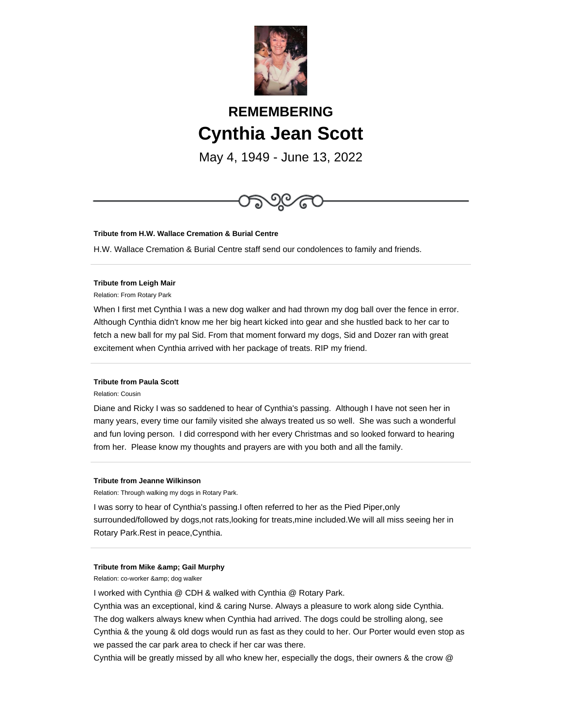

# **REMEMBERING Cynthia Jean Scott**

May 4, 1949 - June 13, 2022



## **Tribute from H.W. Wallace Cremation & Burial Centre**

H.W. Wallace Cremation & Burial Centre staff send our condolences to family and friends.

## **Tribute from Leigh Mair**

Relation: From Rotary Park

When I first met Cynthia I was a new dog walker and had thrown my dog ball over the fence in error. Although Cynthia didn't know me her big heart kicked into gear and she hustled back to her car to fetch a new ball for my pal Sid. From that moment forward my dogs, Sid and Dozer ran with great excitement when Cynthia arrived with her package of treats. RIP my friend.

## **Tribute from Paula Scott**

Relation: Cousin

Diane and Ricky I was so saddened to hear of Cynthia's passing. Although I have not seen her in many years, every time our family visited she always treated us so well. She was such a wonderful and fun loving person. I did correspond with her every Christmas and so looked forward to hearing from her. Please know my thoughts and prayers are with you both and all the family.

#### **Tribute from Jeanne Wilkinson**

Relation: Through walking my dogs in Rotary Park.

I was sorry to hear of Cynthia's passing.I often referred to her as the Pied Piper,only surrounded/followed by dogs,not rats,looking for treats,mine included.We will all miss seeing her in Rotary Park.Rest in peace,Cynthia.

### **Tribute from Mike & amp; Gail Murphy**

Relation: co-worker & amp; dog walker

I worked with Cynthia @ CDH & walked with Cynthia @ Rotary Park.

Cynthia was an exceptional, kind & caring Nurse. Always a pleasure to work along side Cynthia. The dog walkers always knew when Cynthia had arrived. The dogs could be strolling along, see Cynthia & the young & old dogs would run as fast as they could to her. Our Porter would even stop as we passed the car park area to check if her car was there.

Cynthia will be greatly missed by all who knew her, especially the dogs, their owners & the crow @